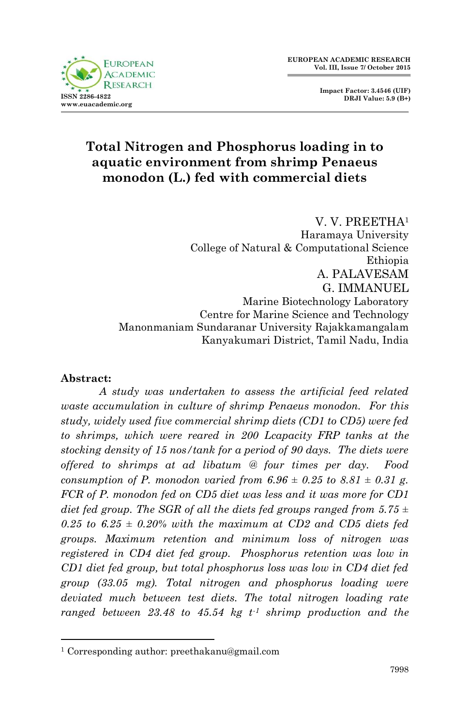

**Impact Factor: 3.4546 (UIF) DRJI Value: 5.9 (B+)**

# **Total Nitrogen and Phosphorus loading in to aquatic environment from shrimp Penaeus monodon (L.) fed with commercial diets**

V. V. PREETHA<sup>1</sup> Haramaya University College of Natural & Computational Science Ethiopia A. PALAVESAM G. IMMANUEL Marine Biotechnology Laboratory Centre for Marine Science and Technology Manonmaniam Sundaranar University Rajakkamangalam Kanyakumari District, Tamil Nadu, India

#### **Abstract:**

1

*A study was undertaken to assess the artificial feed related waste accumulation in culture of shrimp Penaeus monodon. For this study, widely used five commercial shrimp diets (CD1 to CD5) were fed to shrimps, which were reared in 200 Lcapacity FRP tanks at the stocking density of 15 nos/tank for a period of 90 days. The diets were offered to shrimps at ad libatum @ four times per day. Food consumption of P. monodon varied from 6.96*  $\pm$  *0.25 to 8.81*  $\pm$  *0.31 g. FCR of P. monodon fed on CD5 diet was less and it was more for CD1 diet fed group. The SGR of all the diets fed groups ranged from 5.75 ±*   $0.25$  to  $6.25 \pm 0.20\%$  with the maximum at CD2 and CD5 diets fed *groups. Maximum retention and minimum loss of nitrogen was registered in CD4 diet fed group. Phosphorus retention was low in CD1 diet fed group, but total phosphorus loss was low in CD4 diet fed group (33.05 mg). Total nitrogen and phosphorus loading were deviated much between test diets. The total nitrogen loading rate ranged between 23.48 to 45.54 kg t-1 shrimp production and the* 

<sup>1</sup> Corresponding author: preethakanu@gmail.com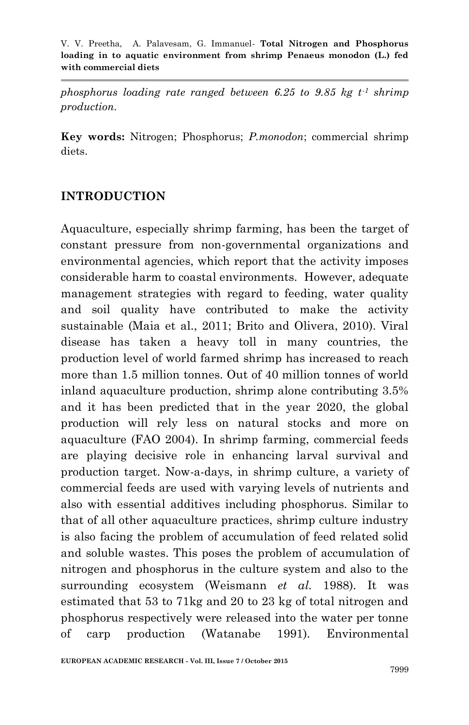*phosphorus loading rate ranged between 6.25 to 9.85 kg t-1 shrimp production.*

**Key words:** Nitrogen; Phosphorus; *P.monodon*; commercial shrimp diets.

### **INTRODUCTION**

Aquaculture, especially shrimp farming, has been the target of constant pressure from non-governmental organizations and environmental agencies, which report that the activity imposes considerable harm to coastal environments. However, adequate management strategies with regard to feeding, water quality and soil quality have contributed to make the activity sustainable (Maia et al., 2011; Brito and Olivera, 2010). Viral disease has taken a heavy toll in many countries, the production level of world farmed shrimp has increased to reach more than 1.5 million tonnes. Out of 40 million tonnes of world inland aquaculture production, shrimp alone contributing 3.5% and it has been predicted that in the year 2020, the global production will rely less on natural stocks and more on aquaculture (FAO 2004). In shrimp farming, commercial feeds are playing decisive role in enhancing larval survival and production target. Now-a-days, in shrimp culture, a variety of commercial feeds are used with varying levels of nutrients and also with essential additives including phosphorus. Similar to that of all other aquaculture practices, shrimp culture industry is also facing the problem of accumulation of feed related solid and soluble wastes. This poses the problem of accumulation of nitrogen and phosphorus in the culture system and also to the surrounding ecosystem (Weismann *et al.* 1988). It was estimated that 53 to 71kg and 20 to 23 kg of total nitrogen and phosphorus respectively were released into the water per tonne of carp production (Watanabe 1991). Environmental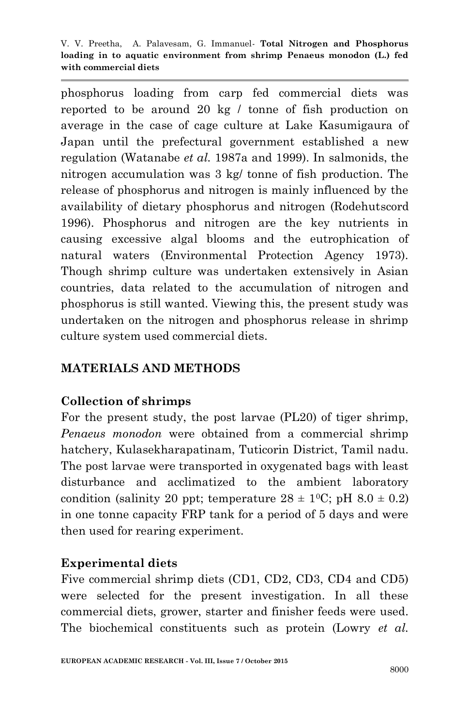phosphorus loading from carp fed commercial diets was reported to be around 20 kg / tonne of fish production on average in the case of cage culture at Lake Kasumigaura of Japan until the prefectural government established a new regulation (Watanabe *et al.* 1987a and 1999). In salmonids, the nitrogen accumulation was 3 kg/ tonne of fish production. The release of phosphorus and nitrogen is mainly influenced by the availability of dietary phosphorus and nitrogen (Rodehutscord 1996). Phosphorus and nitrogen are the key nutrients in causing excessive algal blooms and the eutrophication of natural waters (Environmental Protection Agency 1973). Though shrimp culture was undertaken extensively in Asian countries, data related to the accumulation of nitrogen and phosphorus is still wanted. Viewing this, the present study was undertaken on the nitrogen and phosphorus release in shrimp culture system used commercial diets.

### **MATERIALS AND METHODS**

## **Collection of shrimps**

For the present study, the post larvae (PL20) of tiger shrimp, *Penaeus monodon* were obtained from a commercial shrimp hatchery, Kulasekharapatinam, Tuticorin District, Tamil nadu. The post larvae were transported in oxygenated bags with least disturbance and acclimatized to the ambient laboratory condition (salinity 20 ppt; temperature  $28 \pm 10$ °C; pH  $8.0 \pm 0.2$ ) in one tonne capacity FRP tank for a period of 5 days and were then used for rearing experiment.

## **Experimental diets**

Five commercial shrimp diets (CD1, CD2, CD3, CD4 and CD5) were selected for the present investigation. In all these commercial diets, grower, starter and finisher feeds were used. The biochemical constituents such as protein (Lowry *et al.*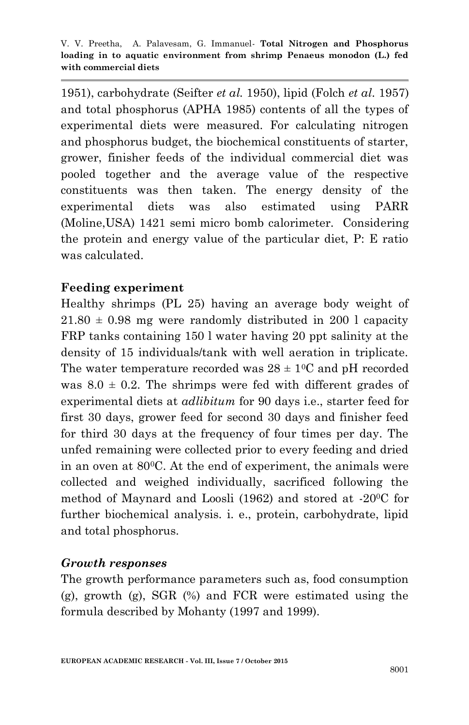1951), carbohydrate (Seifter *et al.* 1950), lipid (Folch *et al.* 1957) and total phosphorus (APHA 1985) contents of all the types of experimental diets were measured. For calculating nitrogen and phosphorus budget, the biochemical constituents of starter, grower, finisher feeds of the individual commercial diet was pooled together and the average value of the respective constituents was then taken. The energy density of the experimental diets was also estimated using PARR (Moline,USA) 1421 semi micro bomb calorimeter. Considering the protein and energy value of the particular diet, P: E ratio was calculated.

## **Feeding experiment**

Healthy shrimps (PL 25) having an average body weight of  $21.80 \pm 0.98$  mg were randomly distributed in 200 l capacity FRP tanks containing 150 l water having 20 ppt salinity at the density of 15 individuals/tank with well aeration in triplicate. The water temperature recorded was  $28 \pm 10^{\circ}$  and pH recorded was  $8.0 \pm 0.2$ . The shrimps were fed with different grades of experimental diets at *adlibitum* for 90 days i.e., starter feed for first 30 days, grower feed for second 30 days and finisher feed for third 30 days at the frequency of four times per day. The unfed remaining were collected prior to every feeding and dried in an oven at 800C. At the end of experiment, the animals were collected and weighed individually, sacrificed following the method of Maynard and Loosli (1962) and stored at -200C for further biochemical analysis. i. e., protein, carbohydrate, lipid and total phosphorus.

## *Growth responses*

The growth performance parameters such as, food consumption (g), growth (g), SGR (%) and FCR were estimated using the formula described by Mohanty (1997 and 1999).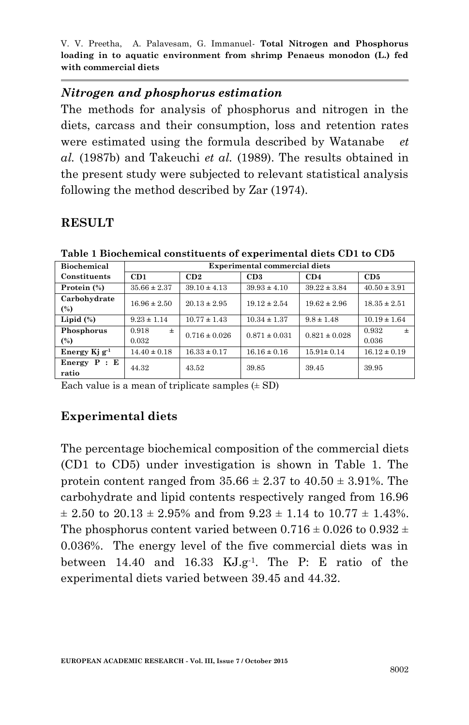#### *Nitrogen and phosphorus estimation*

The methods for analysis of phosphorus and nitrogen in the diets, carcass and their consumption, loss and retention rates were estimated using the formula described by Watanabe *et al.* (1987b) and Takeuchi *et al.* (1989). The results obtained in the present study were subjected to relevant statistical analysis following the method described by Zar (1974).

#### **RESULT**

| таяте т вносиснием сонвигаения от слрегинении атеия свт из сво |                                      |                   |                   |                   |                  |  |  |  |  |
|----------------------------------------------------------------|--------------------------------------|-------------------|-------------------|-------------------|------------------|--|--|--|--|
| <b>Biochemical</b>                                             | <b>Experimental commercial diets</b> |                   |                   |                   |                  |  |  |  |  |
| Constituents                                                   | CD1                                  | CD2               | CD <sub>3</sub>   | CD4               | CD5              |  |  |  |  |
| Protein (%)                                                    | $35.66 \pm 2.37$                     | $39.10 \pm 4.13$  | $39.93 \pm 4.10$  | $39.22 \pm 3.84$  | $40.50 \pm 3.91$ |  |  |  |  |
| Carbohydrate                                                   | $16.96 \pm 2.50$                     | $20.13 \pm 2.95$  | $19.12 \pm 2.54$  | $19.62 \pm 2.96$  | $18.35 \pm 2.51$ |  |  |  |  |
| (%)                                                            |                                      |                   |                   |                   |                  |  |  |  |  |
| Lipid $(\%)$                                                   | $9.23 \pm 1.14$                      | $10.77 \pm 1.43$  | $10.34 \pm 1.37$  | $9.8 \pm 1.48$    | $10.19 \pm 1.64$ |  |  |  |  |
| Phosphorus                                                     | 0.918<br>$\pm$                       | $0.716 \pm 0.026$ | $0.871 \pm 0.031$ | $0.821 \pm 0.028$ | 0.932<br>$\pm$   |  |  |  |  |
| (%)                                                            | 0.032                                |                   |                   |                   | 0.036            |  |  |  |  |
| Energy Ki $g^{-1}$                                             | $14.40 \pm 0.18$                     | $16.33 \pm 0.17$  | $16.16 \pm 0.16$  | $15.91 \pm 0.14$  | $16.12 \pm 0.19$ |  |  |  |  |
| Energy $P : E$<br>ratio                                        | 44.32                                | 43.52             | 39.85             | 39.45             | 39.95            |  |  |  |  |

**Table 1 Biochemical constituents of experimental diets CD1 to CD5**

Each value is a mean of triplicate samples  $(\pm SD)$ 

## **Experimental diets**

The percentage biochemical composition of the commercial diets (CD1 to CD5) under investigation is shown in Table 1. The protein content ranged from  $35.66 \pm 2.37$  to  $40.50 \pm 3.91$ %. The carbohydrate and lipid contents respectively ranged from 16.96  $\pm$  2.50 to 20.13  $\pm$  2.95% and from 9.23  $\pm$  1.14 to 10.77  $\pm$  1.43%. The phosphorus content varied between  $0.716 \pm 0.026$  to  $0.932 \pm 0.026$ 0.036%. The energy level of the five commercial diets was in between 14.40 and 16.33 KJ.g-1 . The P: E ratio of the experimental diets varied between 39.45 and 44.32.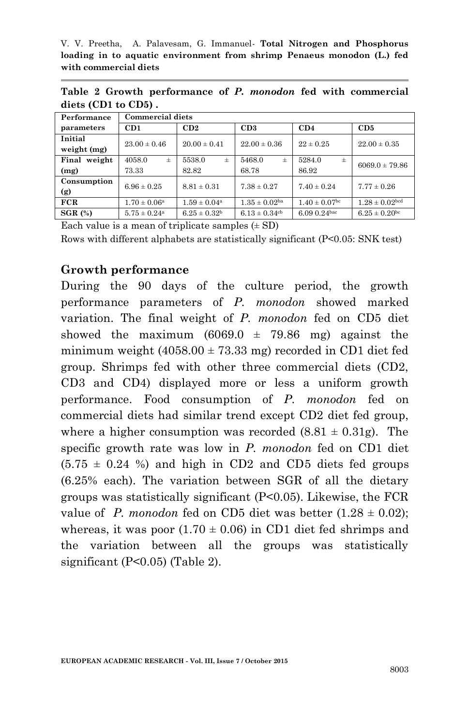| Performance  | <b>Commercial diets</b>      |                         |                               |                    |                               |  |  |  |  |
|--------------|------------------------------|-------------------------|-------------------------------|--------------------|-------------------------------|--|--|--|--|
| parameters   | CD1                          | CD2                     | CD3                           | CD4                | CD5                           |  |  |  |  |
| Initial      | $23.00 \pm 0.46$             | $20.00 \pm 0.41$        | $22.00 \pm 0.36$              | $22 \pm 0.25$      | $22.00 \pm 0.35$              |  |  |  |  |
| weight (mg)  |                              |                         |                               |                    |                               |  |  |  |  |
| Final weight | 4058.0<br>$\pm$              | 5538.0<br>$\pm$         | 5468.0<br>$\pm$               | 5284.0<br>$\pm$    | $6069.0 \pm 79.86$            |  |  |  |  |
| (mg)         | 73.33                        | 82.82                   | 68.78                         | 86.92              |                               |  |  |  |  |
| Consumption  | $6.96 \pm 0.25$              | $8.81 \pm 0.31$         | $7.38 \pm 0.27$               | $7.40 \pm 0.24$    | $7.77 \pm 0.26$               |  |  |  |  |
| (g)          |                              |                         |                               |                    |                               |  |  |  |  |
| FCR          | $1.70 \pm 0.06^{\rm a}$      | $1.59 \pm 0.04^{\rm a}$ | $1.35 \pm 0.02$ <sup>ba</sup> | $1.40 \pm 0.07$ bc | $1.28 \pm 0.02$ bed           |  |  |  |  |
| $SGR$ $(*)$  | $5.75 \pm 0.24$ <sup>a</sup> | $6.25 \pm 0.32^{\rm b}$ | $6.13 \pm 0.34$ cb            | $6.09 0.24$ bac    | $6.25 \pm 0.20$ <sup>bc</sup> |  |  |  |  |

**Table 2 Growth performance of** *P. monodon* **fed with commercial diets (CD1 to CD5) .**

Each value is a mean of triplicate samples  $(\pm SD)$ 

Rows with different alphabets are statistically significant (P<0.05: SNK test)

#### **Growth performance**

During the 90 days of the culture period, the growth performance parameters of *P. monodon* showed marked variation. The final weight of *P. monodon* fed on CD5 diet showed the maximum  $(6069.0 \pm 79.86 \text{ mg})$  against the minimum weight  $(4058.00 \pm 73.33 \text{ mg})$  recorded in CD1 diet fed group. Shrimps fed with other three commercial diets (CD2, CD3 and CD4) displayed more or less a uniform growth performance. Food consumption of *P. monodon* fed on commercial diets had similar trend except CD2 diet fed group, where a higher consumption was recorded  $(8.81 \pm 0.31)$ . The specific growth rate was low in *P. monodon* fed on CD1 diet  $(5.75 \pm 0.24 \%)$  and high in CD2 and CD5 diets fed groups (6.25% each). The variation between SGR of all the dietary groups was statistically significant (P<0.05). Likewise, the FCR value of *P. monodon* fed on CD5 diet was better  $(1.28 \pm 0.02)$ ; whereas, it was poor  $(1.70 \pm 0.06)$  in CD1 diet fed shrimps and the variation between all the groups was statistically significant (P<0.05) (Table 2).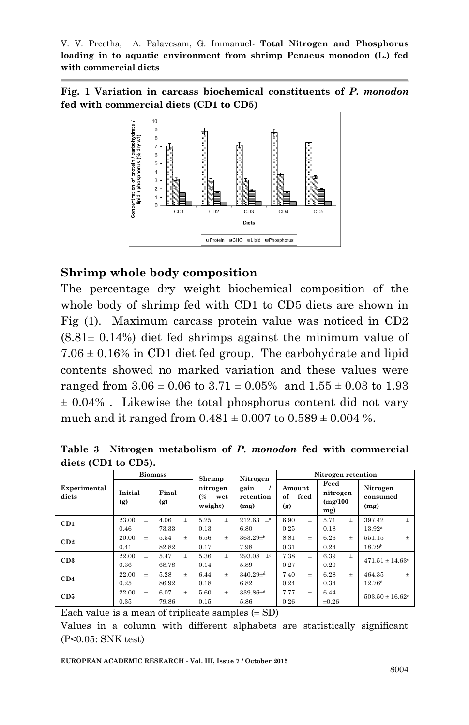**Fig. 1 Variation in carcass biochemical constituents of** *P. monodon*  **fed with commercial diets (CD1 to CD5)**



#### **Shrimp whole body composition**

The percentage dry weight biochemical composition of the whole body of shrimp fed with CD1 to CD5 diets are shown in Fig (1). Maximum carcass protein value was noticed in CD2  $(8.81\pm 0.14\%)$  diet fed shrimps against the minimum value of  $7.06 \pm 0.16\%$  in CD1 diet fed group. The carbohydrate and lipid contents showed no marked variation and these values were ranged from  $3.06 \pm 0.06$  to  $3.71 \pm 0.05\%$  and  $1.55 \pm 0.03$  to 1.93 ± 0.04% . Likewise the total phosphorus content did not vary much and it ranged from  $0.481 \pm 0.007$  to  $0.589 \pm 0.004$  %.

**Table 3 Nitrogen metabolism of** *P. monodon* **fed with commercial diets (CD1 to CD5).**

|                       |                | <b>Biomass</b> | Shrimp                           | Nitrogen                  | Nitrogen retention          |                                     |                                 |  |
|-----------------------|----------------|----------------|----------------------------------|---------------------------|-----------------------------|-------------------------------------|---------------------------------|--|
| Experimental<br>diets | Initial<br>(g) | Final<br>(g)   | nitrogen<br>(%<br>wet<br>weight) | gain<br>retention<br>(mg) | Amount<br>of<br>feed<br>(g) | Feed<br>nitrogen<br>(mg/100)<br>mg) | Nitrogen<br>consumed<br>(mg)    |  |
| CD1                   | 23.00<br>$\pm$ | 4.06<br>$+$    | 5.25<br>$+$                      | 212.63<br>$+a$            | 6.90<br>$+$                 | 5.71<br>$\pm$                       | 397.42<br>$\pm$                 |  |
|                       | 0.46           | 73.33          | 0.13                             | 6.80                      | 0.25                        | 0.18                                | 13.92 <sup>a</sup>              |  |
| CD2                   | 20.00<br>$\pm$ | 5.54<br>$\pm$  | 6.56<br>$\pm$                    | $363.29 + b$              | 8.81<br>$\pm$               | 6.26<br>$\pm$                       | 551.15<br>$\pm$                 |  |
|                       | 0.41           | 82.82          | 0.17                             | 7.98                      | 0.31                        | 0.24                                | 18.79 <sup>b</sup>              |  |
| CD3                   | 22.00<br>$+$   | 5.47<br>$+$    | 5.36<br>$+$                      | 293.08<br>$+c$            | 7.38<br>$+$                 | 6.39<br>$+$                         | $471.51 \pm 14.63$ c            |  |
|                       | 0.36           | 68.78          | 0.14                             | 5.89                      | 0.27                        | 0.20                                |                                 |  |
| CD4                   | 22.00<br>$+$   | 5.28<br>$+$    | 6.44<br>$+$                      | $340.29\pm$ <sup>d</sup>  | 7.40<br>$+$                 | 6.28<br>$+$                         | 464.35<br>$+$                   |  |
|                       | 0.25           | 86.92          | 0.18                             | 6.82                      | 0.24                        | 0.34                                | 12.76 <sup>d</sup>              |  |
| CD5                   | 22.00<br>$+$   | 6.07<br>$+$    | 5.60<br>$+$                      | $339.86\pm d$             | 7.77<br>$\pm$               | 6.44                                | $503.50 \pm 16.62$ <sup>e</sup> |  |
|                       | 0.35           | 79.86          | 0.15                             | 5.86                      | 0.26                        | $\pm 0.26$                          |                                 |  |

Each value is a mean of triplicate samples  $(\pm SD)$ 

Values in a column with different alphabets are statistically significant (P<0.05: SNK test)

**EUROPEAN ACADEMIC RESEARCH - Vol. III, Issue 7 / October 2015**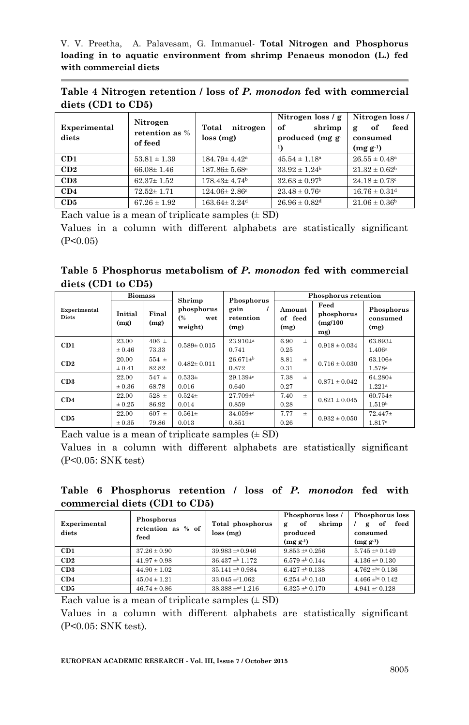**Table 4 Nitrogen retention / loss of** *P. monodon* **fed with commercial diets (CD1 to CD5)** 

| Experimental<br>diets | Nitrogen<br>retention as %<br>of feed | Total<br>nitrogen<br>loss(mg)  | Nitrogen loss $/g$<br>shrimp<br>of<br>produced (mg g<br>$\mathbf{1}$ | Nitrogen loss /<br>feed<br>оf<br>g<br>consumed<br>$(mg g^{-1})$ |
|-----------------------|---------------------------------------|--------------------------------|----------------------------------------------------------------------|-----------------------------------------------------------------|
| CD1                   | $53.81 \pm 1.39$                      | $184.79 \pm 4.42^a$            | $45.54 \pm 1.18^{\circ}$                                             | $26.55 \pm 0.48^{\circ}$                                        |
| CD2                   | $66.08 \pm 1.46$                      | $187.86 \pm 5.68^{\circ}$      | $33.92 \pm 1.24^b$                                                   | $21.32 \pm 0.62^{\rm b}$                                        |
| CD3                   | $62.37 \pm 1.52$                      | $178.43 \pm 4.74$ <sup>b</sup> | $32.63 \pm 0.97$ <sup>b</sup>                                        | $24.18 \pm 0.73$ <sup>c</sup>                                   |
| CD4                   | $72.52 \pm 1.71$                      | $124.06 \pm 2.86^{\circ}$      | $23.48 \pm 0.76^{\circ}$                                             | $16.76 \pm 0.31$ <sup>d</sup>                                   |
| CD5                   | $67.26 \pm 1.92$                      | $163.64 \pm 3.24$ <sup>d</sup> | $26.96 \pm 0.82$ <sup>d</sup>                                        | $21.06 \pm 0.36$ <sup>b</sup>                                   |

Each value is a mean of triplicate samples  $(\pm SD)$ 

Values in a column with different alphabets are statistically significant  $(P<0.05)$ 

|  | Table 5 Phosphorus metabolism of P. monodon fed with commercial |  |  |  |  |
|--|-----------------------------------------------------------------|--|--|--|--|
|  | $\text{diets (CD1 to CD5)}$                                     |  |  |  |  |

|                              | <b>Biomass</b>  |               | Shrimp                             | Phosphorus                | Phosphorus retention      |                                       |                                |  |
|------------------------------|-----------------|---------------|------------------------------------|---------------------------|---------------------------|---------------------------------------|--------------------------------|--|
| Experimental<br><b>Diets</b> | Initial<br>(mg) | Final<br>(mg) | phosphorus<br>(%<br>wet<br>weight) | gain<br>retention<br>(mg) | Amount<br>of feed<br>(mg) | Feed<br>phosphorus<br>(mg/100)<br>mg) | Phosphorus<br>consumed<br>(mg) |  |
| CD1                          | 23.00           | $406 \pm$     | $0.589 \pm 0.015$                  | $23.910+$ <sup>a</sup>    | 6.90<br>$\pm$             | $0.918 \pm 0.034$                     | $63.893\pm$                    |  |
|                              | $\pm 0.46$      | 73.33         |                                    | 0.741                     | 0.25                      |                                       | $1.406^{\rm a}$                |  |
| CD2                          | 20.00           | $554 \pm$     | $0.482 \pm 0.011$                  | $26.671 + b$              | 8.81<br>$\pm$             | $0.716 \pm 0.030$                     | $63.106 \pm$                   |  |
|                              | $\pm 0.41$      | 82.82         |                                    | 0.872                     | 0.31                      |                                       | $1.578$ <sup>a</sup>           |  |
| CD3                          | 22.00           | $547 \pm$     | $0.533\pm$                         | $29.139 + c$              | 7.38<br>$\pm$             | $0.871 \pm 0.042$                     | $64.280+$                      |  |
|                              | $\pm 0.36$      | 68.78         | 0.016                              | 0.640                     | 0.27                      |                                       | 1.221a                         |  |
| CD4                          | 22.00           | $528 \pm$     | $0.524+$                           | $27.709 +$ d              | 7.40<br>$\pm$             | $0.821 \pm 0.045$                     | $60.754\pm$                    |  |
|                              | $\pm 0.25$      | 86.92         | 0.014                              | 0.859                     | 0.28                      |                                       | 1.519 <sup>b</sup>             |  |
| CD5                          | 22.00           | $607 \pm$     | $0.561 \pm$                        | $34.059 + e$              | 7.77<br>$\pm$             | $0.932 \pm 0.050$                     | $72.447\pm$                    |  |
|                              | $\pm 0.35$      | 79.86         | 0.013                              | 0.851                     | 0.26                      |                                       | 1.817c                         |  |

Each value is a mean of triplicate samples  $(\pm SD)$ 

Values in a column with different alphabets are statistically significant (P<0.05: SNK test)

**Table 6 Phosphorus retention / loss of** *P. monodon* **fed with commercial diets (CD1 to CD5)** 

| Experimental<br>diets | Phosphorus<br>retention as % of<br>feed | Total phosphorus<br>loss(mg) | Phosphorus loss /<br>shrimp<br>of<br>g<br>produced<br>$(mg g^{-1})$ | Phosphorus loss<br>feed<br>of<br>g<br>consumed<br>$(mg g-1)$ |
|-----------------------|-----------------------------------------|------------------------------|---------------------------------------------------------------------|--------------------------------------------------------------|
| CD1                   | $37.26 \pm 0.90$                        | $39.983 \pm 0.946$           | $9.853 \pm 0.256$                                                   | $5.745 \pm 0.149$                                            |
| CD2                   | $41.97 \pm 0.98$                        | $36.437 \pm 0.172$           | $6.579 \pm 0.144$                                                   | $4.136 \pm a 0.130$                                          |
| CD3                   | $44.90 \pm 1.02$                        | $35.141 \pm b$ 0.984         | $6.427 \pm 0.138$                                                   | $4.762 \pm 0.136$                                            |
| CD4                   | $45.04 \pm 1.21$                        | $33.045 \pm 1.062$           | $6.254 \pm 0.140$                                                   | 4.466 $\pm$ bc 0.142                                         |
| CD5                   | $46.74 \pm 0.86$                        | $38.388 \pm a \cdot d$ 1.216 | $6.325 \pm 0.170$                                                   | $4.941 \pm 0.128$                                            |

Each value is a mean of triplicate samples  $(\pm SD)$ 

Values in a column with different alphabets are statistically significant (P<0.05: SNK test).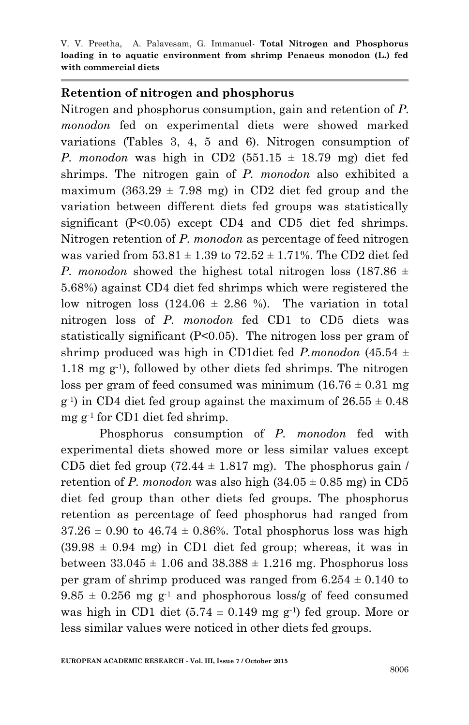#### **Retention of nitrogen and phosphorus**

Nitrogen and phosphorus consumption, gain and retention of *P. monodon* fed on experimental diets were showed marked variations (Tables 3, 4, 5 and 6). Nitrogen consumption of *P. monodon* was high in CD2  $(551.15 \pm 18.79 \text{ mg})$  diet fed shrimps. The nitrogen gain of *P. monodon* also exhibited a maximum  $(363.29 \pm 7.98 \text{ mg})$  in CD2 diet fed group and the variation between different diets fed groups was statistically significant (P<0.05) except CD4 and CD5 diet fed shrimps. Nitrogen retention of *P. monodon* as percentage of feed nitrogen was varied from  $53.81 \pm 1.39$  to  $72.52 \pm 1.71$ %. The CD2 diet fed *P. monodon* showed the highest total nitrogen loss  $(187.86 \pm$ 5.68%) against CD4 diet fed shrimps which were registered the low nitrogen loss  $(124.06 \pm 2.86 \%)$ . The variation in total nitrogen loss of *P. monodon* fed CD1 to CD5 diets was statistically significant (P<0.05). The nitrogen loss per gram of shrimp produced was high in CD1diet fed *P.monodon* (45.54 ± 1.18 mg g-1 ), followed by other diets fed shrimps. The nitrogen loss per gram of feed consumed was minimum  $(16.76 \pm 0.31 \text{ mg})$  $g^{-1}$ ) in CD4 diet fed group against the maximum of  $26.55 \pm 0.48$ mg g-1 for CD1 diet fed shrimp.

Phosphorus consumption of *P. monodon* fed with experimental diets showed more or less similar values except CD5 diet fed group  $(72.44 \pm 1.817 \text{ mg})$ . The phosphorus gain / retention of *P. monodon* was also high  $(34.05 \pm 0.85 \text{ mg})$  in CD5 diet fed group than other diets fed groups. The phosphorus retention as percentage of feed phosphorus had ranged from  $37.26 \pm 0.90$  to  $46.74 \pm 0.86\%$ . Total phosphorus loss was high  $(39.98 \pm 0.94 \text{ mg})$  in CD1 diet fed group; whereas, it was in between  $33.045 \pm 1.06$  and  $38.388 \pm 1.216$  mg. Phosphorus loss per gram of shrimp produced was ranged from  $6.254 \pm 0.140$  to  $9.85 \pm 0.256$  mg g<sup>-1</sup> and phosphorous loss/g of feed consumed was high in CD1 diet  $(5.74 \pm 0.149 \text{ mg g}^{-1})$  fed group. More or less similar values were noticed in other diets fed groups.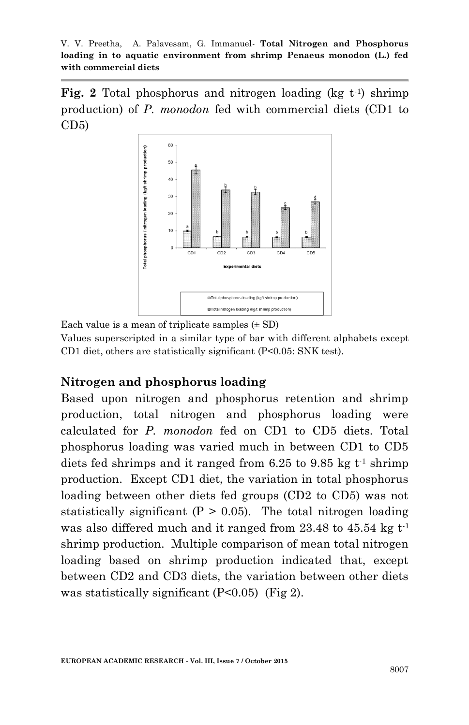**Fig. 2** Total phosphorus and nitrogen loading (kg t<sup>-1</sup>) shrimp production) of *P. monodon* fed with commercial diets (CD1 to  $CD5$ 



Each value is a mean of triplicate samples  $(\pm SD)$ 

Values superscripted in a similar type of bar with different alphabets except CD1 diet, others are statistically significant (P<0.05: SNK test).

#### **Nitrogen and phosphorus loading**

Based upon nitrogen and phosphorus retention and shrimp production, total nitrogen and phosphorus loading were calculated for *P. monodon* fed on CD1 to CD5 diets. Total phosphorus loading was varied much in between CD1 to CD5 diets fed shrimps and it ranged from  $6.25$  to  $9.85$  kg t<sup>-1</sup> shrimp production. Except CD1 diet, the variation in total phosphorus loading between other diets fed groups (CD2 to CD5) was not statistically significant  $(P > 0.05)$ . The total nitrogen loading was also differed much and it ranged from  $23.48$  to  $45.54$  kg t<sup>-1</sup> shrimp production. Multiple comparison of mean total nitrogen loading based on shrimp production indicated that, except between CD2 and CD3 diets, the variation between other diets was statistically significant (P<0.05) (Fig 2).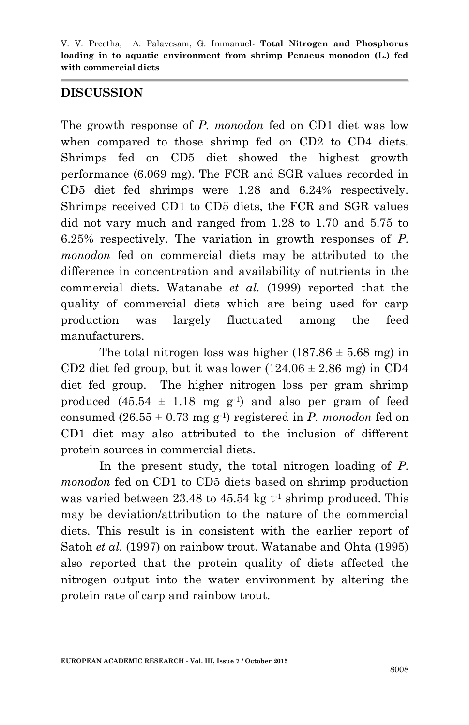### **DISCUSSION**

The growth response of *P. monodon* fed on CD1 diet was low when compared to those shrimp fed on CD2 to CD4 diets. Shrimps fed on CD5 diet showed the highest growth performance (6.069 mg). The FCR and SGR values recorded in CD5 diet fed shrimps were 1.28 and 6.24% respectively. Shrimps received CD1 to CD5 diets, the FCR and SGR values did not vary much and ranged from 1.28 to 1.70 and 5.75 to 6.25% respectively. The variation in growth responses of *P. monodon* fed on commercial diets may be attributed to the difference in concentration and availability of nutrients in the commercial diets. Watanabe *et al.* (1999) reported that the quality of commercial diets which are being used for carp production was largely fluctuated among the feed manufacturers.

The total nitrogen loss was higher  $(187.86 \pm 5.68 \text{ mg})$  in CD2 diet fed group, but it was lower  $(124.06 \pm 2.86 \text{ mg})$  in CD4 diet fed group. The higher nitrogen loss per gram shrimp produced  $(45.54 \pm 1.18 \text{ mg g}^{-1})$  and also per gram of feed consumed  $(26.55 \pm 0.73 \text{ mg g}^{-1})$  registered in *P. monodon* fed on CD1 diet may also attributed to the inclusion of different protein sources in commercial diets.

In the present study, the total nitrogen loading of *P. monodon* fed on CD1 to CD5 diets based on shrimp production was varied between 23.48 to  $45.54 \text{ kg}$  t<sup>-1</sup> shrimp produced. This may be deviation/attribution to the nature of the commercial diets. This result is in consistent with the earlier report of Satoh *et al.* (1997) on rainbow trout. Watanabe and Ohta (1995) also reported that the protein quality of diets affected the nitrogen output into the water environment by altering the protein rate of carp and rainbow trout.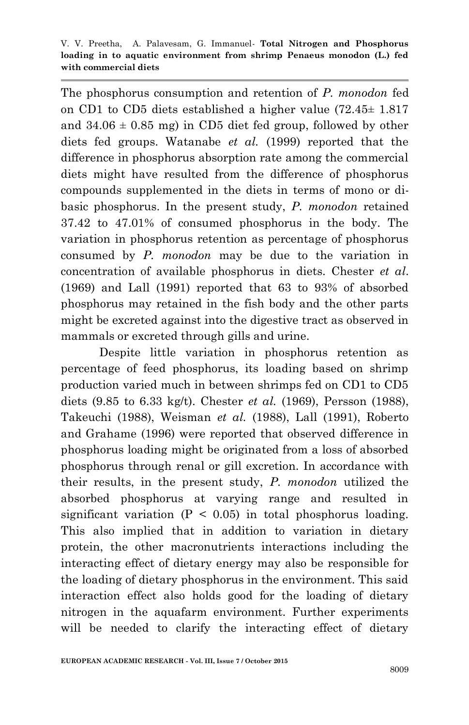The phosphorus consumption and retention of *P. monodon* fed on CD1 to CD5 diets established a higher value (72.45± 1.817 and  $34.06 \pm 0.85$  mg) in CD5 diet fed group, followed by other diets fed groups. Watanabe *et al.* (1999) reported that the difference in phosphorus absorption rate among the commercial diets might have resulted from the difference of phosphorus compounds supplemented in the diets in terms of mono or dibasic phosphorus. In the present study, *P. monodon* retained 37.42 to 47.01% of consumed phosphorus in the body. The variation in phosphorus retention as percentage of phosphorus consumed by *P. monodon* may be due to the variation in concentration of available phosphorus in diets. Chester *et al*. (1969) and Lall (1991) reported that 63 to 93% of absorbed phosphorus may retained in the fish body and the other parts might be excreted against into the digestive tract as observed in mammals or excreted through gills and urine.

Despite little variation in phosphorus retention as percentage of feed phosphorus, its loading based on shrimp production varied much in between shrimps fed on CD1 to CD5 diets (9.85 to 6.33 kg/t). Chester *et al.* (1969), Persson (1988), Takeuchi (1988), Weisman *et al.* (1988), Lall (1991), Roberto and Grahame (1996) were reported that observed difference in phosphorus loading might be originated from a loss of absorbed phosphorus through renal or gill excretion. In accordance with their results, in the present study, *P. monodon* utilized the absorbed phosphorus at varying range and resulted in significant variation  $(P < 0.05)$  in total phosphorus loading. This also implied that in addition to variation in dietary protein, the other macronutrients interactions including the interacting effect of dietary energy may also be responsible for the loading of dietary phosphorus in the environment. This said interaction effect also holds good for the loading of dietary nitrogen in the aquafarm environment. Further experiments will be needed to clarify the interacting effect of dietary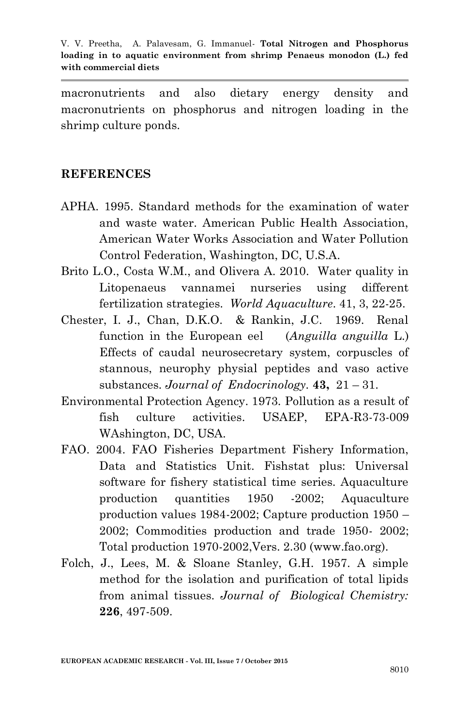macronutrients and also dietary energy density and macronutrients on phosphorus and nitrogen loading in the shrimp culture ponds.

#### **REFERENCES**

- APHA. 1995. Standard methods for the examination of water and waste water. American Public Health Association, American Water Works Association and Water Pollution Control Federation, Washington, DC, U.S.A.
- Brito L.O., Costa W.M., and Olivera A. 2010. Water quality in Litopenaeus vannamei nurseries using different fertilization strategies. *World Aquaculture*. 41, 3, 22-25.
- Chester, I. J., Chan, D.K.O. & Rankin, J.C. 1969. Renal function in the European eel (*Anguilla anguilla* L.) Effects of caudal neurosecretary system, corpuscles of stannous, neurophy physial peptides and vaso active substances. *Journal of Endocrinology.* **43,** 21 – 31.
- Environmental Protection Agency. 1973. Pollution as a result of fish culture activities. USAEP, EPA-R3-73-009 WAshington, DC, USA.
- FAO. 2004. FAO Fisheries Department Fishery Information, Data and Statistics Unit. Fishstat plus: Universal software for fishery statistical time series. Aquaculture production quantities 1950 -2002; Aquaculture production values 1984-2002; Capture production 1950 – 2002; Commodities production and trade 1950- 2002; Total production 1970-2002,Vers. 2.30 (www.fao.org).
- Folch, J., Lees, M. & Sloane Stanley, G.H. 1957. A simple method for the isolation and purification of total lipids from animal tissues. *Journal of Biological Chemistry:* **226**, 497-509.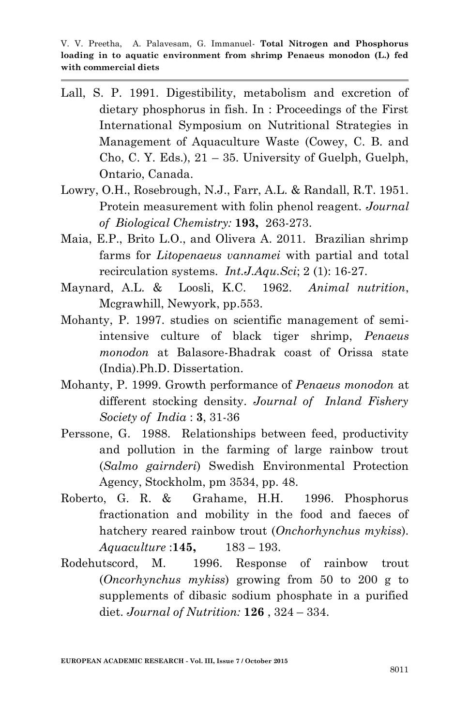V. V. Preetha, A. Palavesam, G. Immanuel*-* **Total Nitrogen and Phosphorus loading in to aquatic environment from shrimp Penaeus monodon (L.) fed with commercial diets**

- Lall, S. P. 1991. Digestibility, metabolism and excretion of dietary phosphorus in fish. In : Proceedings of the First International Symposium on Nutritional Strategies in Management of Aquaculture Waste (Cowey, C. B. and Cho, C. Y. Eds.),  $21 - 35$ . University of Guelph, Guelph, Ontario, Canada.
- Lowry, O.H., Rosebrough, N.J., Farr, A.L. & Randall, R.T. 1951. Protein measurement with folin phenol reagent. *Journal of Biological Chemistry:* **193,** 263-273.
- Maia, E.P., Brito L.O., and Olivera A. 2011. Brazilian shrimp farms for *Litopenaeus vannamei* with partial and total recirculation systems. *Int.J.Aqu.Sci*; 2 (1): 16-27.
- Maynard, A.L. & Loosli, K.C. 1962. *Animal nutrition*, Mcgrawhill, Newyork, pp.553.
- Mohanty, P. 1997. studies on scientific management of semiintensive culture of black tiger shrimp, *Penaeus monodon* at Balasore-Bhadrak coast of Orissa state (India).Ph.D. Dissertation.
- Mohanty, P. 1999. Growth performance of *Penaeus monodon* at different stocking density. *Journal of Inland Fishery Society of India* : **3**, 31-36
- Perssone, G. 1988. Relationships between feed, productivity and pollution in the farming of large rainbow trout (*Salmo gairnderi*) Swedish Environmental Protection Agency, Stockholm, pm 3534, pp. 48.
- Roberto, G. R. & Grahame, H.H. 1996. Phosphorus fractionation and mobility in the food and faeces of hatchery reared rainbow trout (*Onchorhynchus mykiss*). *Aquaculture* :**145,** 183 – 193.
- Rodehutscord, M. 1996. Response of rainbow trout (*Oncorhynchus mykiss*) growing from 50 to 200 g to supplements of dibasic sodium phosphate in a purified diet. *Journal of Nutrition:* **126** , 324 – 334.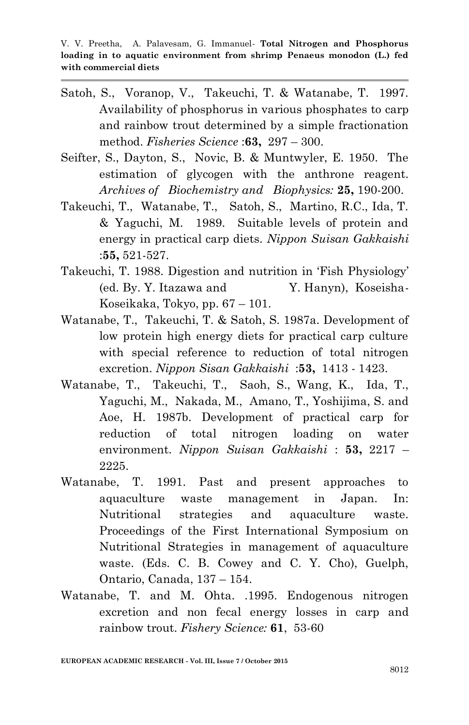- Satoh, S., Voranop, V., Takeuchi, T. & Watanabe, T. 1997. Availability of phosphorus in various phosphates to carp and rainbow trout determined by a simple fractionation method. *Fisheries Science* :**63,** 297 – 300.
- Seifter, S., Dayton, S., Novic, B. & Muntwyler, E. 1950. The estimation of glycogen with the anthrone reagent. *Archives of Biochemistry and Biophysics:* **25,** 190-200.
- Takeuchi, T., Watanabe, T., Satoh, S., Martino, R.C., Ida, T. & Yaguchi, M. 1989. Suitable levels of protein and energy in practical carp diets. *Nippon Suisan Gakkaishi* :**55,** 521-527.
- Takeuchi, T. 1988. Digestion and nutrition in 'Fish Physiology' (ed. By. Y. Itazawa and Y. Hanyn), Koseisha-Koseikaka, Tokyo, pp. 67 – 101.
- Watanabe, T., Takeuchi, T. & Satoh, S. 1987a. Development of low protein high energy diets for practical carp culture with special reference to reduction of total nitrogen excretion. *Nippon Sisan Gakkaishi* :**53,** 1413 - 1423.
- Watanabe, T., Takeuchi, T., Saoh, S., Wang, K., Ida, T., Yaguchi, M., Nakada, M., Amano, T., Yoshijima, S. and Aoe, H. 1987b. Development of practical carp for reduction of total nitrogen loading on water environment. *Nippon Suisan Gakkaishi* : **53,** 2217 – 2225.
- Watanabe, T. 1991. Past and present approaches to aquaculture waste management in Japan. In: Nutritional strategies and aquaculture waste. Proceedings of the First International Symposium on Nutritional Strategies in management of aquaculture waste. (Eds. C. B. Cowey and C. Y. Cho), Guelph, Ontario, Canada, 137 – 154.
- Watanabe, T. and M. Ohta. .1995. Endogenous nitrogen excretion and non fecal energy losses in carp and rainbow trout. *Fishery Science:* **61**, 53-60